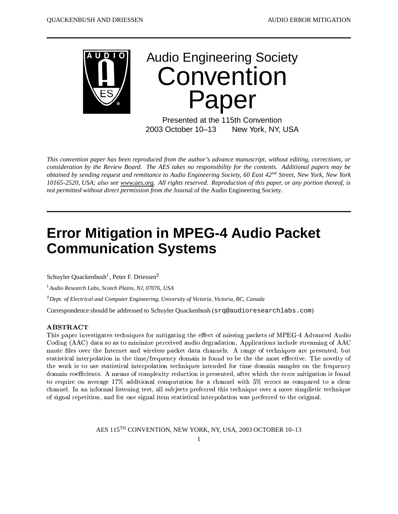

# **Audio Engineering Society** Convention Paper

Presented at the 115th Convention 2003 October 10-13 New York, NY, USA

This convention paper has been reproduced from the author's advance manuscript, without editing, corrections, or consideration by the Review Board. The AES takes no responsibility for the contents. Additional papers may be obtained by sending request and remittance to Audio Engineering Society, 60 East 42<sup>nd</sup> Street, New York, New York 10165-2520, USA; also see www.aes.org. All rights reserved. Reproduction of this paper, or any portion thereof, is not permitted without direct permission from the Journal of the Audio Engineering Society.

## **Error Mitigation in MPEG-4 Audio Packet Communication Systems**

Schuyler Quackenbush<sup>1</sup>, Peter F. Driessen<sup>2</sup>

<sup>1</sup> Audio Research Labs, Scotch Plains, NJ, 07076, USA

 ${}^{2}$ Dept. of Electrical and Computer Engineering, University of Victoria, Victoria, BC, Canada

Correspondence should be addressed to Schuyler Quackenbush (srq@audioresearchlabs.com)

#### **ABSTRACT**

This paper investigates techniques for mitigating the effect of missing packets of MPEG-4 Advanced Audio Coding (AAC) data so as to minimize perceived audio degradation. Applications include streaming of AAC music files over the Internet and wireless packet data channels. A range of techniques are presented, but statistical interpolation in the time/frequency domain is found to be the the most effective. The novelty of the work is to use statistical interpolation techniques intended for time domain samples on the frequency domain coefficients. A means of complexity reduction is presented, after which the error mitigation is found to require on average 17% additional computation for a channel with  $5\%$  errors as compared to a clear channel. In an informal listening test, all subjects preferred this technique over a more simplistic technique of signal repetition, and for one signal item statistical interpolation was preferred to the original.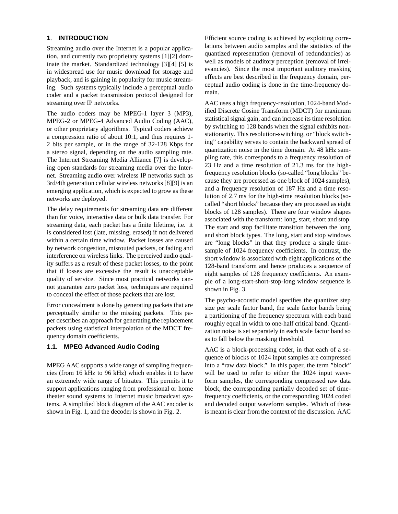#### **1**. **INTRODUCTION**

Streaming audio over the Internet is a popular application, and currently two proprietary systems [1][2] dominate the market. Standardized technology [3][4] [5] is in widespread use for music download for storage and playback, and is gaining in popularity for music streaming. Such systems typically include a perceptual audio coder and a packet transmission protocol designed for streaming over IP networks.

The audio coders may be MPEG-1 layer 3 (MP3), MPEG-2 or MPEG-4 Advanced Audio Coding (AAC), or other proprietary algorithms. Typical coders achieve a compression ratio of about 10:1, and thus requires 1- 2 bits per sample, or in the range of 32-128 Kbps for a stereo signal, depending on the audio sampling rate. The Internet Streaming Media Alliance [7] is developing open standards for streaming media over the Internet. Streaming audio over wireless IP networks such as 3rd/4th generation cellular wireless networks [8][9] is an emerging application, which is expected to grow as these networks are deployed.

The delay requirements for streaming data are different than for voice, interactive data or bulk data transfer. For streaming data, each packet has a finite lifetime, i.e. it is considered lost (late, missing, erased) if not delivered within a certain time window. Packet losses are caused by network congestion, misrouted packets, or fading and interference on wireless links. The perceived audio quality suffers as a result of these packet losses, to the point that if losses are excessive the result is unacceptable quality of service. Since most practical networks cannot guarantee zero packet loss, techniques are required to conceal the effect of those packets that are lost.

Error concealment is done by generating packets that are perceptually similar to the missing packets. This paper describes an approach for generating the replacement packets using statistical interpolation of the MDCT frequency domain coefficients.

### **1.1**. **MPEG Advanced Audio Coding**

MPEG AAC supports a wide range of sampling frequencies (from 16 kHz to 96 kHz) which enables it to have an extremely wide range of bitrates. This permits it to support applications ranging from professional or home theater sound systems to Internet music broadcast systems. A simplified block diagram of the AAC encoder is shown in Fig. 1, and the decoder is shown in Fig. 2.

Efficient source coding is achieved by exploiting correlations between audio samples and the statistics of the quantized representation (removal of redundancies) as well as models of auditory perception (removal of irrelevancies). Since the most important auditory masking effects are best described in the frequency domain, perceptual audio coding is done in the time-frequency domain.

AAC uses a high frequency-resolution, 1024-band Modified Discrete Cosine Transform (MDCT) for maximum statistical signal gain, and can increase its time resolution by switching to 128 bands when the signal exhibits nonstationarity. This resolution-switching, or "block switching" capability serves to contain the backward spread of quantization noise in the time domain. At 48 kHz sampling rate, this corresponds to a frequency resolution of 23 Hz and a time resolution of 21.3 ms for the highfrequency resolution blocks (so-called "long blocks" because they are processed as one block of 1024 samples), and a frequency resolution of 187 Hz and a time resolution of 2.7 ms for the high-time resolution blocks (socalled "short blocks" because they are processed as eight blocks of 128 samples). There are four window shapes associated with the transform: long, start, short and stop. The start and stop facilitate transition between the long and short block types. The long, start and stop windows are "long blocks" in that they produce a single timesample of 1024 frequency coefficients. In contrast, the short window is associated with eight applications of the 128-band transform and hence produces a sequence of eight samples of 128 frequency coefficients. An example of a long-start-short-stop-long window sequence is shown in Fig. 3.

The psycho-acoustic model specifies the quantizer step size per scale factor band, the scale factor bands being a partitioning of the frequency spectrum with each band roughly equal in width to one-half critical band. Quantization noise is set separately in each scale factor band so as to fall below the masking threshold.

AAC is a block-processing coder, in that each of a sequence of blocks of 1024 input samples are compressed into a "raw data block." In this paper, the term "block" will be used to refer to either the 1024 input waveform samples, the corresponding compressed raw data block, the corresponding partially decoded set of timefrequency coefficients, or the corresponding 1024 coded and decoded output waveform samples. Which of these is meant is clear from the context of the discussion. AAC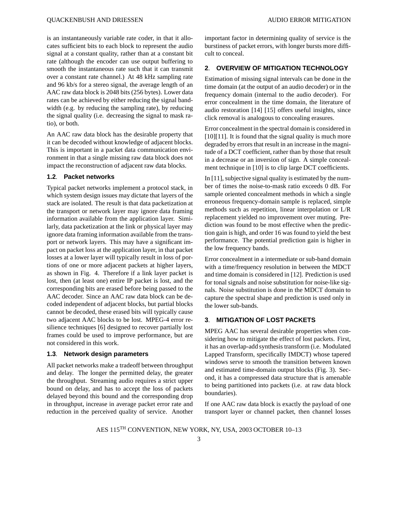is an instantaneously variable rate coder, in that it allocates sufficient bits to each block to represent the audio signal at a constant quality, rather than at a constant bit rate (although the encoder can use output buffering to smooth the instantaneous rate such that it can transmit over a constant rate channel.) At 48 kHz sampling rate and 96 kb/s for a stereo signal, the average length of an AAC raw data block is 2048 bits (256 bytes). Lower data rates can be achieved by either reducing the signal bandwidth (e.g. by reducing the sampling rate), by reducing the signal quality (i.e. decreasing the signal to mask ratio), or both.

An AAC raw data block has the desirable property that it can be decoded without knowledge of adjacent blocks. This is important in a packet data communication environment in that a single missing raw data block does not impact the reconstruction of adjacent raw data blocks.

#### **1.2**. **Packet networks**

Typical packet networks implement a protocol stack, in which system design issues may dictate that layers of the stack are isolated. The result is that data packetization at the transport or network layer may ignore data framing information available from the application layer. Similarly, data packetization at the link or physical layer may ignore data framing information available from the transport or network layers. This may have a significant impact on packet loss at the application layer, in that packet losses at a lower layer will typically result in loss of portions of one or more adjacent packets at higher layers, as shown in Fig. 4. Therefore if a link layer packet is lost, then (at least one) entire IP packet is lost, and the corresponding bits are erased before being passed to the AAC decoder. Since an AAC raw data block can be decoded independent of adjacent blocks, but partial blocks cannot be decoded, these erased bits will typically cause two adjacent AAC blocks to be lost. MPEG-4 error resilience techniques [6] designed to recover partially lost frames could be used to improve performance, but are not considered in this work.

#### **1.3**. **Network design parameters**

All packet networks make a tradeoff between throughput and delay. The longer the permitted delay, the greater the throughput. Streaming audio requires a strict upper bound on delay, and has to accept the loss of packets delayed beyond this bound and the corresponding drop in throughput, increase in average packet error rate and reduction in the perceived quality of service. Another important factor in determining quality of service is the burstiness of packet errors, with longer bursts more difficult to conceal.

#### **2**. **OVERVIEW OF MITIGATION TECHNOLOGY**

Estimation of missing signal intervals can be done in the time domain (at the output of an audio decoder) or in the frequency domain (internal to the audio decoder). For error concealment in the time domain, the literature of audio restoration [14] [15] offers useful insights, since click removal is analogous to concealing erasures.

Error concealment in the spectral domain is considered in [10][11]. It is found that the signal quality is much more degraded by errors that result in an increase in the magnitude of a DCT coefficient, rather than by those that result in a decrease or an inversion of sign. A simple concealment technique in [10] is to clip large DCT coefficients.

In [11], subjective signal quality is estimated by the number of times the noise-to-mask ratio exceeds 0 dB. For sample oriented concealment methods in which a single erroneous frequency-domain sample is replaced, simple methods such as repetition, linear interpolation or L/R replacement yielded no improvement over muting. Prediction was found to be most effective when the prediction gain is high, and order 16 was found to yield the best performance. The potential prediction gain is higher in the low frequency bands.

Error concealment in a intermediate or sub-band domain with a time/frequency resolution in between the MDCT and time domain is considered in [12]. Prediction is used for tonal signals and noise substitution for noise-like signals. Noise substitution is done in the MDCT domain to capture the spectral shape and prediction is used only in the lower sub-bands.

#### **3**. **MITIGATION OF LOST PACKETS**

MPEG AAC has several desirable properties when considering how to mitigate the effect of lost packets. First, it has an overlap-add synthesis transform (i.e. Modulated Lapped Transform, specifically IMDCT) whose tapered windows serve to smooth the transition between known and estimated time-domain output blocks (Fig. 3). Second, it has a compressed data structure that is amenable to being partitioned into packets (i.e. at raw data block boundaries).

If one AAC raw data block is exactly the payload of one transport layer or channel packet, then channel losses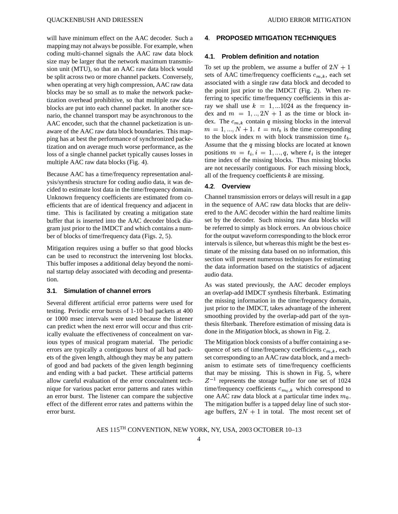will have minimum effect on the AAC decoder. Such a mapping may not always be possible. For example, when coding multi-channel signals the AAC raw data block size may be larger that the network maximum transmission unit (MTU), so that an AAC raw data block would be split across two or more channel packets. Conversely, when operating at very high compression, AAC raw data blocks may be so small as to make the network packetization overhead prohibitive, so that multiple raw data blocks are put into each channel packet. In another scenario, the channel transport may be asynchronous to the AAC encoder, such that the channel packetization is unaware of the AAC raw data block boundaries. This mapping has at best the performance of synchronized packetization and on average much worse performance, as the loss of a single channel packet typically causes losses in multiple AAC raw data blocks (Fig. 4).

Because AAC has a time/frequency representation analysis/synthesis structure for coding audio data, it was decided to estimate lost data in the time/frequency domain. Unknown frequency coefficients are estimated from coefficients that are of identical frequency and adjacent in time. This is facilitated by creating a mitigation state buffer that is inserted into the AAC decoder block diagram just prior to the IMDCT and which contains a number of blocks of time/frequency data (Figs. 2, 5).

Mitigation requires using a buffer so that good blocks can be used to reconstruct the intervening lost blocks. This buffer imposes a additional delay beyond the nominal startup delay associated with decoding and presentation.

#### **3.1**. **Simulation of channel errors**

Several different artificial error patterns were used for testing. Periodic error bursts of 1-10 bad packets at 400 or 1000 msec intervals were used because the listener can predict when the next error will occur and thus critically evaluate the effectiveness of concealment on various types of musical program material. The periodic errors are typically a contiguous burst of all bad packets of the given length, although they may be any pattern of good and bad packets of the given length beginning and ending with a bad packet. These artificial patterns allow careful evaluation of the error concealment technique for various packet error patterns and rates within an error burst. The listener can compare the subjective effect of the different error rates and patterns within the error burst.

#### **4**. **PROPOSED MITIGATION TECHNIQUES**

#### **4.1**. **Problem definition and notation**

To set up the problem, we assume a buffer of  $2N + 1$ sets of AAC time/frequency coefficients  $c_{m,k}$ , each set associated with a single raw data block and decoded to the point just prior to the IMDCT (Fig. 2). When referring to specific time/frequency coefficients in this array we shall use  $k = 1, \dots 1024$  as the frequency index and  $m = 1,..,2N + 1$  as the time or block index. The  $c_{m,k}$  contain q missing blocks in the interval  ${m = 1, ..., N + 1. t = mt_b}$  is the time corresponding to the block index  $m$  with block transmission time  $t_b$ . Assume that the  $q$  missing blocks are located at known positions  $m = t_i, i = 1, ..., q$ , where  $t_i$  is the integer time index of the missing blocks. Thus missing blocks are not necessarily contiguous. For each missing block, all of the frequency coefficients  $k$  are missing.

#### **4.2**. **Overview**

Channel transmission errors or delays will result in a gap in the sequence of AAC raw data blocks that are delivered to the AAC decoder within the hard realtime limits set by the decoder. Such missing raw data blocks will be referred to simply as block errors. An obvious choice for the output waveform corresponding to the block error intervals is silence, but whereas this might be the best estimate of the missing data based on no information, this section will present numerous techniques for estimating the data information based on the statistics of adjacent audio data.

As was stated previously, the AAC decoder employs an overlap-add IMDCT synthesis filterbank. Estimating the missing information in the time/frequency domain, just prior to the IMDCT, takes advantage of the inherent smoothing provided by the overlap-add part of the synthesis filterbank. Therefore estimation of missing data is done in the *Mitigation* block, as shown in Fig. 2.

The Mitigation block consists of a buffer containing a sequence of sets of time/frequency coefficients  $c_{m,k}$ , each set corresponding to an AAC raw data block, and a mechanism to estimate sets of time/frequency coefficients that may be missing. This is shown in Fig. 5, where  $Z^{-1}$  represents the storage buffer for one set of 1024 time/frequency coefficients  $c_{m_0,k}$  which correspond to one AAC raw data block at a particular time index  $m_0$ . The mitigation buffer is a tapped delay line of such storage buffers,  $2N + 1$  in total. The most recent set of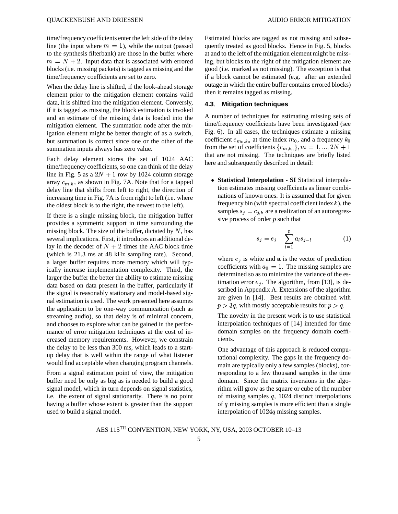time/frequency coefficients enter the left side of the delay line (the input where  $m = 1$ ), while the output (passed to the synthesis filterbank) are those in the buffer where  $m = N + 2$ . Input data that is associated with errored blocks (i.e. missing packets) is tagged as missing and the time/frequency coefficients are set to zero.

When the delay line is shifted, if the look-ahead storage element prior to the mitigation element contains valid data, it is shifted into the mitigation element. Conversly, if it is tagged as missing, the block estimation is invoked and an estimate of the missing data is loaded into the mitigation element. The summation node after the mitigation element might be better thought of as a switch, but summation is correct since one or the other of the summation inputs always has zero value.

Each delay element stores the set of 1024 AAC time/frequency coefficients, so one can think of the delay line in Fig. 5 as a  $2N + 1$  row by 1024 column storage array  $c_{m,k}$ , as shown in Fig. 7A. Note that for a tapped delay line that shifts from left to right, the direction of increasing time in Fig. 7A is from right to left (i.e. where the oldest block is to the right, the newest to the left).

If there is a single missing block, the mitigation buffer provides a symmetric support in time surrounding the missing block. The size of the buffer, dictated by  $N$ , has several implications. First, it introduces an additional delay in the decoder of  $N + 2$  times the AAC block time (which is 21.3 ms at 48 kHz sampling rate). Second, a larger buffer requires more memory which will typically increase implementation complexity. Third, the larger the buffer the better the ability to estimate missing data based on data present in the buffer, particularly if the signal is reasonably stationary and model-based signal estimation is used. The work presented here assumes the application to be one-way communication (such as streaming audio), so that delay is of minimal concern, and chooses to explore what can be gained in the performance of error mitigation techniques at the cost of increased memory requirements. However, we constrain the delay to be less than 300 ms, which leads to a startup delay that is well within the range of what listener would find acceptable when changing program channels.

From a signal estimation point of view, the mitigation buffer need be only as big as is needed to build a good signal model, which in turn depends on signal statistics, i.e. the extent of signal stationarity. There is no point having a buffer whose extent is greater than the support used to build a signal model.

Estimated blocks are tagged as not missing and subsequently treated as good blocks. Hence in Fig. 5, blocks at and to the left of the mitigation element might be missing, but blocks to the right of the mitigation element are good (i.e. marked as not missing). The exception is that if a block cannot be estimated (e.g. after an extended outage in which the entire buffer contains errored blocks) then it remains tagged as missing.

#### **4.3**. **Mitigation techniques**

A number of techniques for estimating missing sets of time/frequency coefficients have been investigated (see Fig. 6). In all cases, the techniques estimate a missing coefficient  $c_{m_0,k_0}$  at time index  $m_0$ , and a frequency  $k_0$ from the set of coefficients  $\{c_{m,k_0}\}, m = 1, ..., 2N + 1$ that are not missing. The techniques are briefly listed here and subsequently described in detail:

<sup>¬</sup> **Statistical Interpolation - SI** Statistical interpolation estimates missing coefficients as linear combinations of known ones. It is assumed that for given frequency bin (with spectral coefficient index  $k$ ), the samples  $s_i = c_{i,k}$  are a realization of an autoregressive process of order  $p$  such that

$$
s_j = e_j - \sum_{l=1}^p a_l s_{j-l} \tag{1}
$$

where  $e_j$  is white and **a** is the vector of prediction coefficients with  $a_0 = 1$ . The missing samples are determined so as to minimize the variance of the estimation error  $e_i$ . The algorithm, from [13], is described in Appendix A. Extensions of the algorithm are given in [14]. Best results are obtained with  $p > 3q$ , with mostly acceptable results for  $p > q$ .

The novelty in the present work is to use statistical interpolation techniques of [14] intended for time domain samples on the frequency domain coefficients.

One advantage of this approach is reduced computational complexity. The gaps in the frequency domain are typically only a few samples (blocks), corresponding to a few thousand samples in the time domain. Since the matrix inversions in the algorithm will grow as the square or cube of the number of missing samples  $q$ , 1024 distinct interpolations of  $q$  missing samples is more efficient than a single interpolation of  $1024q$  missing samples.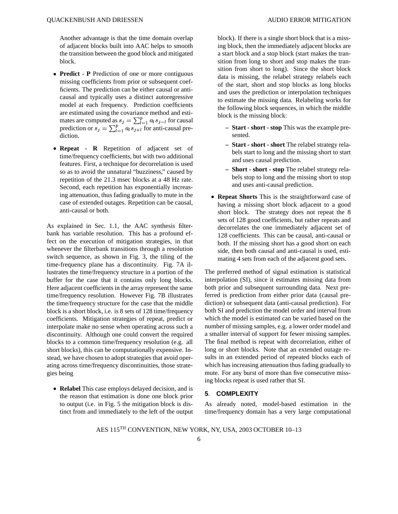- <sup>¬</sup> **Predict - P** Prediction of one or more contiguous missing coefficients from prior or subsequent coefficients. The prediction can be either causal or anticausal and typically uses a distinct autoregressive model at each frequency. Prediction coefficients are estimated using the covariance method and estimates are computed as  $s_j = \sum_{l=1}^p a_l s_{j-l}$  for causal . . . . . . . . . . . .  $s_{j-l}$  for causal mates are computed as  $s_j = \sum_{l=1}^p a_l s_{j-l}$  for causal<br>prediction or  $s_j = \sum_{l=1}^p a_l s_{j+l}$  for anti-causal prediction.
- <sup>¬</sup> **Repeat - R** Repetition of adjacent set of time/frequency coefficients, but with two additional features. First, a technique for decorrelation is used so as to avoid the unnatural "buzziness," caused by repetition of the 21.3 msec blocks at a 48 Hz rate. Second, each repetition has exponentially increasing attenuation, thus fading gradually to mute in the case of extended outages. Repetition can be causal, anti-causal or both.

As explained in Sec. 1.1, the AAC synthesis filterbank has variable resolution. This has a profound effect on the execution of mitigation strategies, in that whenever the filterbank transitions through a resolution switch sequence, as shown in Fig. 3, the tiling of the time-frequency plane has a discontinuity. Fig. 7A illustrates the time/frequency structure in a portion of the buffer for the case that it contains only long blocks. Here adjacent coefficients in the array represent the same time/frequency resolution. However Fig. 7B illustrates the time/frequency structure for the case that the middle block is a short block, i.e. is 8 sets of 128 time/frequency coefficients. Mitigation strategies of repeat, predict or interpolate make no sense when operating across such a discontinuity. Although one could convert the required blocks to a common time/frequency resolution (e.g. all short blocks), this can be computationally expensive. Instead, we have chosen to adopt strategies that avoid operating across time/frequency discontinuities, those strategies being

<sup>¬</sup> **Relabel** This case employs delayed decision, and is the reason that estimation is done one block prior to output (i.e. in Fig. 5 the mitigation block is distinct from and immediately to the left of the output block). If there is a single short block that is a missing block, then the immediately adjacent blocks are a start block and a stop block (start makes the transition from long to short and stop makes the transition from short to long). Since the short block data is missing, the relabel strategy relabels each of the start, short and stop blocks as long blocks and uses the prediction or interpolation techniques to estimate the missing data. Relabeling works for the following block sequences, in which the middle block is the missing block:

- **– Start - short - stop** This was the example presented.
- **– Start - short - short** The relabel strategy relabels start to long and the missing short to start and uses causal prediction.
- **– Short - short - stop** The relabel strategy relabels stop to long and the missing short to stop and uses anti-causal prediction.
- <sup>¬</sup> **Repeat Shorts** This is the straightforward case of having a missing short block adjacent to a good short block. The strategy does not repeat the 8 sets of 128 good coefficients, but rather repeats and decorrelates the one immediately adjacent set of 128 coefficients. This can be causal, anti-causal or both. If the missing short has a good short on each side, then both causal and anti-causal is used, estimating 4 sets from each of the adjacent good sets.

The preferred method of signal estimation is statistical interpolation (SI), since it estimates missing data from both prior and subsequent surrounding data. Next preferred is prediction from either prior data (causal prediction) or subsequent data (anti-causal prediction). For both SI and prediction the model order and interval from which the model is estimated can be varied based on the number of missing samples, e.g. a lower order model and a smaller interval of support for fewer missing samples. The final method is repeat with decorrelation, either of long or short blocks. Note that an extended outage results in an extended period of repeated blocks each of which has increasing attenuation thus fading gradually to mute. For any burst of more than five consecutive missing blocks repeat is used rather that SI.

#### **5**. **COMPLEXITY**

As already noted, model-based estimation in the time/frequency domain has a very large computational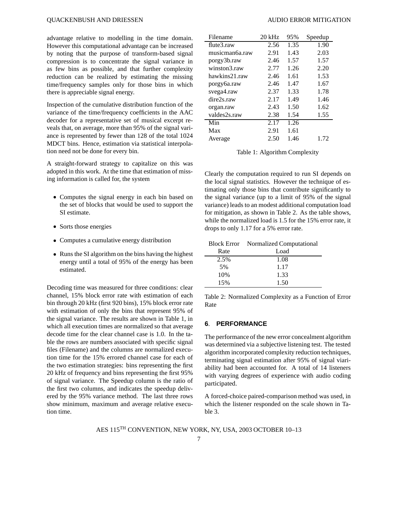advantage relative to modelling in the time domain. However this computational advantage can be increased by noting that the purpose of transform-based signal compression is to concentrate the signal variance in as few bins as possible, and that further complexity reduction can be realized by estimating the missing time/frequency samples only for those bins in which there is appreciable signal energy.

Inspection of the cumulative distribution function of the variance of the time/frequency coefficients in the AAC decoder for a representative set of musical excerpt reveals that, on average, more than 95% of the signal variance is represented by fewer than 128 of the total 1024 MDCT bins. Hence, estimation via statistical interpolation need not be done for every bin.

A straight-forward strategy to capitalize on this was adopted in this work. At the time that estimation of missing information is called for, the system

- <sup>¬</sup> Computes the signal energy in each bin based on the set of blocks that would be used to support the SI estimate.
- Sorts those energies
- <sup>¬</sup> Computes a cumulative energy distribution
- <sup>¬</sup> Runs the SI algorithm on the bins having the highest energy until a total of 95% of the energy has been estimated.

Decoding time was measured for three conditions: clear channel, 15% block error rate with estimation of each bin through 20 kHz (first 920 bins), 15% block error rate with estimation of only the bins that represent 95% of the signal variance. The results are shown in Table 1, in which all execution times are normalized so that average decode time for the clear channel case is 1.0. In the table the rows are numbers associated with specific signal files (Filename) and the columns are normalized execution time for the 15% errored channel case for each of the two estimation strategies: bins representing the first 20 kHz of frequency and bins representing the first 95% of signal variance. The Speedup column is the ratio of the first two columns, and indicates the speedup delivered by the 95% variance method. The last three rows show minimum, maximum and average relative execution time.

| Filename       | $20$ kHz | 95%  | Speedup |
|----------------|----------|------|---------|
| flute3.raw     | 2.56     | 1.35 | 1.90    |
| musicman6a.raw | 2.91     | 1.43 | 2.03    |
| porgy3b.raw    | 2.46     | 1.57 | 1.57    |
| winston3.raw   | 2.77     | 1.26 | 2.20    |
| hawkins21.raw  | 2.46     | 1.61 | 1.53    |
| porgy6a.raw    | 2.46     | 1.47 | 1.67    |
| svega4.raw     | 2.37     | 1.33 | 1.78    |
| dire2s.raw     | 2.17     | 1.49 | 1.46    |
| organ.raw      | 2.43     | 1.50 | 1.62    |
| valdes2s.raw   | 2.38     | 1.54 | 1.55    |
| Min            | 2.17     | 1.26 |         |
| Max            | 2.91     | 1.61 |         |
| Average        | 2.50     | 1.46 | 1.72    |

Table 1: Algorithm Complexity

Clearly the computation required to run SI depends on the local signal statistics. However the technique of estimating only those bins that contribute significantly to the signal variance (up to a limit of 95% of the signal variance) leads to an modest additional computation load for mitigation, as shown in Table 2. As the table shows, while the normalized load is 1.5 for the 15% error rate, it drops to only 1.17 for a 5% error rate.

|      | <b>Block Error</b> Normalized Computational |  |  |
|------|---------------------------------------------|--|--|
| Rate | Load                                        |  |  |
| 2.5% | 1.08                                        |  |  |
| 5%   | 1.17                                        |  |  |
| 10%  | 1.33                                        |  |  |
| 15%  | 1.50                                        |  |  |

Table 2: Normalized Complexity as a Function of Error Rate

#### **6**. **PERFORMANCE**

The performance of the new error concealment algorithm was determined via a subjective listening test. The tested algorithm incorporated complexity reduction techniques, terminating signal estimation after 95% of signal viariability had been accounted for. A total of 14 listeners with varying degrees of experience with audio coding participated.

A forced-choice paired-comparison method was used, in which the listener responded on the scale shown in Table 3.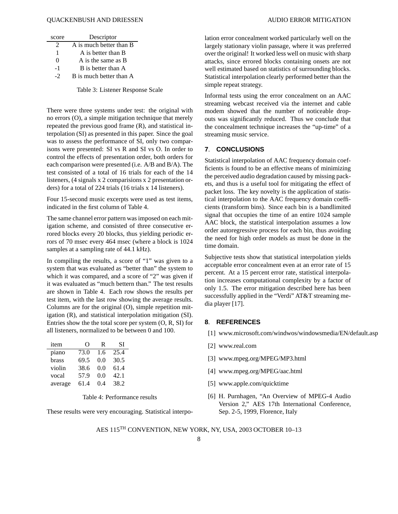#### OUACKENBUSH AND DRIESSEN AUDIO ERROR MITIGATION

| score    | Descriptor              |  |  |
|----------|-------------------------|--|--|
| 2        | A is much better than B |  |  |
| 1        | A is better than B      |  |  |
| $\Omega$ | A is the same as B      |  |  |
| - 1      | B is better than A      |  |  |
| $-2$     | B is much better than A |  |  |

Table 3: Listener Response Scale

There were three systems under test: the original with no errors (O), a simple mitigation technique that merely repeated the previous good frame (R), and statistical interpolation (SI) as presented in this paper. Since the goal was to assess the performance of SI, only two comparisons were presented: SI vs R and SI vs O. In order to control the effects of presentation order, both orders for each comparison were presented (i.e. A/B and B/A). The test consisted of a total of 16 trials for each of the 14 listeners, (4 signals x 2 comparisions x 2 presentation orders) for a total of 224 trials (16 trials x 14 listeners).

Four 15-second music excerpts were used as test items, indicated in the first column of Table 4.

The same channel error pattern was imposed on each mitigation scheme, and consisted of three consecutive errored blocks every 20 blocks, thus yielding periodic errors of 70 msec every 464 msec (where a block is 1024 samples at a sampling rate of 44.1 kHz).

In compiling the results, a score of "1" was given to a system that was evaluated as "better than" the system to which it was compared, and a score of "2" was given if it was evaluated as "much bettern than." The test results are shown in Table 4. Each row shows the results per test item, with the last row showing the average results. Columns are for the original (O), simple repetition mitigation (R), and statistical interpolation mitigation (SI). Entries show the the total score per system (O, R, SI) for all listeners, normalized to be between 0 and 100.

| item    | 0    | R   | SI   |
|---------|------|-----|------|
| piano   | 73.0 | 1.6 | 25.4 |
| brass   | 69.5 | 0.0 | 30.5 |
| violin  | 38.6 | 0.0 | 61.4 |
| vocal   | 57.9 | 0.0 | 42.1 |
| average | 61.4 | 0.4 | 38.2 |

Table 4: Performance results

These results were very encouraging. Statistical interpo-

lation error concealment worked particularly well on the largely stationary violin passage, where it was preferred over the original! It worked less well on music with sharp attacks, since errored blocks containing onsets are not well estimated based on statistics of surrounding blocks. Statistical interpolation clearly performed better than the simple repeat strategy.

Informal tests using the error concealment on an AAC streaming webcast received via the internet and cable modem showed that the number of noticeable dropouts was significantly reduced. Thus we conclude that the concealment technique increases the "up-time" of a streaming music service.

#### **7**. **CONCLUSIONS**

Statistical interpolation of AAC frequency domain coefficients is found to be an effective means of minimizing the perceived audio degradation caused by missing packets, and thus is a useful tool for mitigating the effect of packet loss. The key novelty is the application of statistical interpolation to the AAC frequency domain coefficients (transform bins). Since each bin is a bandlimited signal that occupies the time of an entire 1024 sample AAC block, the statistical interpolation assumes a low order autoregressive process for each bin, thus avoiding the need for high order models as must be done in the time domain.

Subjective tests show that statistical interpolation yields acceptable error concealment even at an error rate of 15 percent. At a 15 percent error rate, statistical interpolation increases computational complexity by a factor of only 1.5. The error mitigation described here has been successfully applied in the "Verdi" AT&T streaming media player [17].

#### **8**. **REFERENCES**

- [1] www.microsoft.com/windwos/windowsmedia/EN/default.asp
- [2] www.real.com
- [3] www.mpeg.org/MPEG/MP3.html
- [4] www.mpeg.org/MPEG/aac.html
- [5] www.apple.com/quicktime
- [6] H. Purnhagen, "An Overview of MPEG-4 Audio Version 2," AES 17th International Conference, Sep. 2-5, 1999, Florence, Italy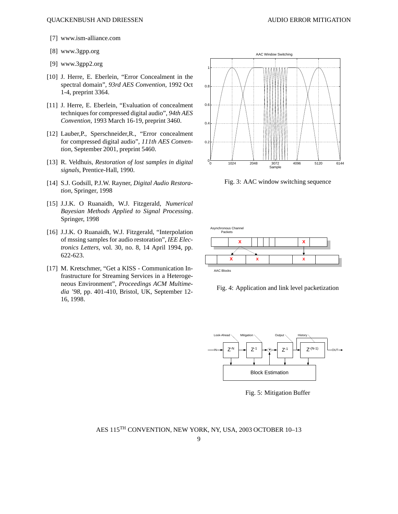- [7] www.ism-alliance.com
- [8] www.3gpp.org
- [9] www.3gpp2.org
- [10] J. Herre, E. Eberlein, "Error Concealment in the spectral domain", *93rd AES Convention*, 1992 Oct 1-4, preprint 3364.
- [11] J. Herre, E. Eberlein, "Evaluation of concealment techniques for compressed digital audio", *94th AES Convention*, 1993 March 16-19, preprint 3460.
- [12] Lauber,P., Sperschneider,R., "Error concealment for compressed digital audio", *111th AES Convention*, September 2001, preprint 5460.
- [13] R. Veldhuis, *Restoration of lost samples in digital signals*, Prentice-Hall, 1990.
- [14] S.J. Godsill, P.J.W. Rayner, *Digital Audio Restoration*, Springer, 1998
- [15] J.J.K. O Ruanaidh, W.J. Fitzgerald, *Numerical Bayesian Methods Applied to Signal Processing*. Springer, 1998
- [16] J.J.K. O Ruanaidh, W.J. Fitzgerald, "Interpolation of mssing samples for audio restoration", *IEE Electronics Letters*, vol. 30, no. 8, 14 April 1994, pp. 622-623.
- [17] M. Kretschmer, "Get a KISS Communication Infrastructure for Streaming Services in a Heterogeneous Environment", *Proceedings ACM Multimedia '98*, pp. 401-410, Bristol, UK, September 12- 16, 1998.



Fig. 3: AAC window switching sequence



Fig. 4: Application and link level packetization



Fig. 5: Mitigation Buffer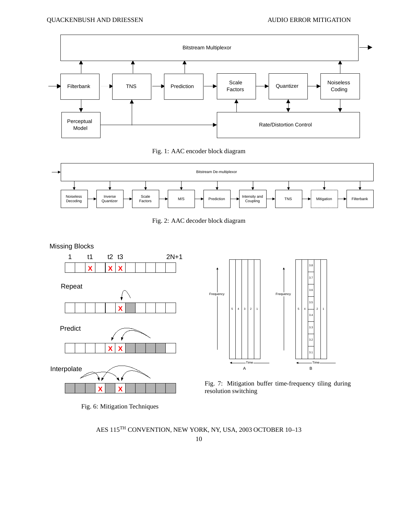





Fig. 2: AAC decoder block diagram



Fig. 6: Mitigation Techniques



Fig. 7: Mitigation buffer time-frequency tiling during resolution switching